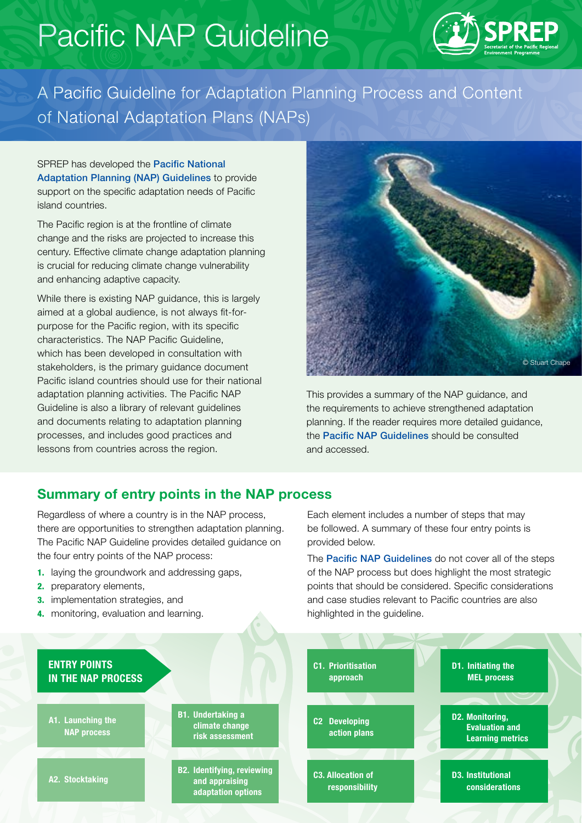# Pacific NAP Guideline



A Pacific Guideline for Adaptation Planning Process and Content of National Adaptation Plans (NAPs)

SPREP has developed the Pacific National Adaptation Planning (NAP) Guidelines to provide support on the specific adaptation needs of Pacific island countries.

The Pacific region is at the frontline of climate change and the risks are projected to increase this century. Effective climate change adaptation planning is crucial for reducing climate change vulnerability and enhancing adaptive capacity.

While there is existing NAP guidance, this is largely aimed at a global audience, is not always fit-forpurpose for the Pacific region, with its specific characteristics. The NAP Pacific Guideline, which has been developed in consultation with stakeholders, is the primary guidance document Pacific island countries should use for their national adaptation planning activities. The Pacific NAP Guideline is also a library of relevant guidelines and documents relating to adaptation planning processes, and includes good practices and lessons from countries across the region.



This provides a summary of the NAP guidance, and the requirements to achieve strengthened adaptation planning. If the reader requires more detailed guidance, the [Pacific NAP Guideline](http://#)s should be consulted and accessed.

#### Summary of entry points in the NAP process

Regardless of where a country is in the NAP process, there are opportunities to strengthen adaptation planning. The Pacific NAP Guideline provides detailed guidance on the four entry points of the NAP process:

- 1. laying the groundwork and addressing gaps,
- 2. preparatory elements,
- 3. implementation strategies, and
- 4. monitoring, evaluation and learning.

Each element includes a number of steps that may be followed. A summary of these four entry points is provided below.

The **[Pacific NAP Guidelines](http://#)** do not cover all of the steps of the NAP process but does highlight the most strategic points that should be considered. Specific considerations and case studies relevant to Pacific countries are also highlighted in the guideline.

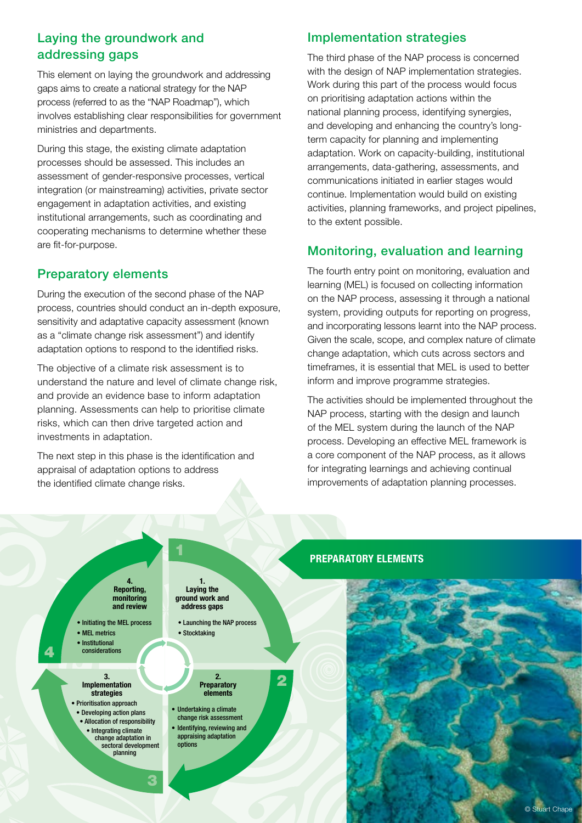# Laying the groundwork and addressing gaps

This element on laying the groundwork and addressing gaps aims to create a national strategy for the NAP process (referred to as the "NAP Roadmap"), which involves establishing clear responsibilities for government ministries and departments.

During this stage, the existing climate adaptation processes should be assessed. This includes an assessment of gender-responsive processes, vertical integration (or mainstreaming) activities, private sector engagement in adaptation activities, and existing institutional arrangements, such as coordinating and cooperating mechanisms to determine whether these are fit-for-purpose.

## Preparatory elements

During the execution of the second phase of the NAP process, countries should conduct an in-depth exposure, sensitivity and adaptative capacity assessment (known as a "climate change risk assessment") and identify adaptation options to respond to the identified risks.

The objective of a climate risk assessment is to understand the nature and level of climate change risk, and provide an evidence base to inform adaptation planning. Assessments can help to prioritise climate risks, which can then drive targeted action and investments in adaptation.

The next step in this phase is the identification and appraisal of adaptation options to address the identified climate change risks.

## Implementation strategies

The third phase of the NAP process is concerned with the design of NAP implementation strategies. Work during this part of the process would focus on prioritising adaptation actions within the national planning process, identifying synergies, and developing and enhancing the country's longterm capacity for planning and implementing adaptation. Work on capacity-building, institutional arrangements, data-gathering, assessments, and communications initiated in earlier stages would continue. Implementation would build on existing activities, planning frameworks, and project pipelines, to the extent possible.

# Monitoring, evaluation and learning

The fourth entry point on monitoring, evaluation and learning (MEL) is focused on collecting information on the NAP process, assessing it through a national system, providing outputs for reporting on progress, and incorporating lessons learnt into the NAP process. Given the scale, scope, and complex nature of climate change adaptation, which cuts across sectors and timeframes, it is essential that MEL is used to better inform and improve programme strategies.

The activities should be implemented throughout the NAP process, starting with the design and launch of the MEL system during the launch of the NAP process. Developing an effective MEL framework is a core component of the NAP process, as it allows for integrating learnings and achieving continual improvements of adaptation planning processes.



#### PREPARATORY ELEMENTS

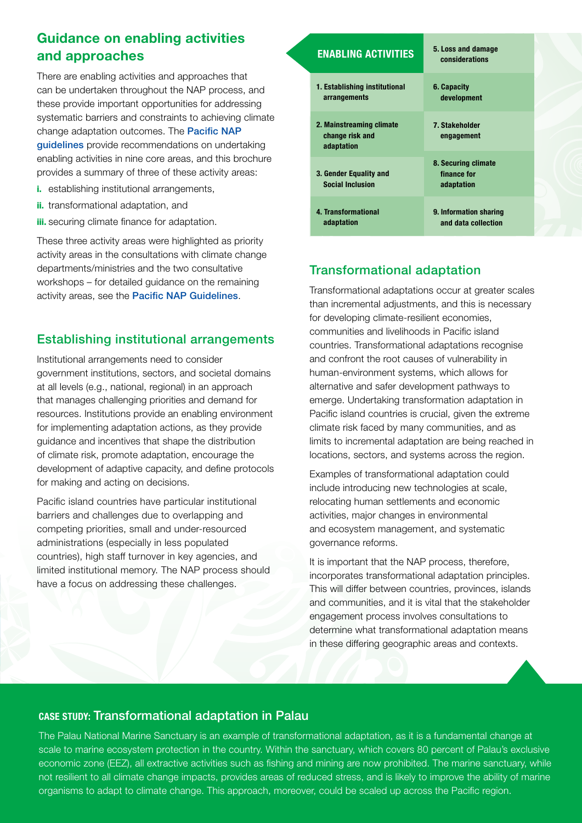# Guidance on enabling activities and approaches

There are enabling activities and approaches that can be undertaken throughout the NAP process, and these provide important opportunities for addressing systematic barriers and constraints to achieving climate change adaptation outcomes. The Pacific NAP guidelines provide recommendations on undertaking enabling activities in nine core areas, and this brochure provides a summary of three of these activity areas:

- i. establishing institutional arrangements,
- ii. transformational adaptation, and
- **iii.** securing climate finance for adaptation.

These three activity areas were highlighted as priority activity areas in the consultations with climate change departments/ministries and the two consultative workshops – for detailed guidance on the remaining activity areas, see the [Pacific NAP Guideline](http://#)s.

## Establishing institutional arrangements

Institutional arrangements need to consider government institutions, sectors, and societal domains at all levels (e.g., national, regional) in an approach that manages challenging priorities and demand for resources. Institutions provide an enabling environment for implementing adaptation actions, as they provide guidance and incentives that shape the distribution of climate risk, promote adaptation, encourage the development of adaptive capacity, and define protocols for making and acting on decisions.

Pacific island countries have particular institutional barriers and challenges due to overlapping and competing priorities, small and under-resourced administrations (especially in less populated countries), high staff turnover in key agencies, and limited institutional memory. The NAP process should have a focus on addressing these challenges.

#### ENABLING ACTIVITIES

1. Establishing institutional arrangements 2. Mainstreaming climate change risk and adaptation 3. Gender Equality and Social Inclusion 6. Capacity development 7. Stakeholder engagement 8. Securing climate finance for adaptation

5. Loss and damage considerations

4. Transformational adaptation 9. Information sharing and data collection

# Transformational adaptation

Transformational adaptations occur at greater scales than incremental adjustments, and this is necessary for developing climate-resilient economies, communities and livelihoods in Pacific island countries. Transformational adaptations recognise and confront the root causes of vulnerability in human-environment systems, which allows for alternative and safer development pathways to emerge. Undertaking transformation adaptation in Pacific island countries is crucial, given the extreme climate risk faced by many communities, and as limits to incremental adaptation are being reached in locations, sectors, and systems across the region.

Examples of transformational adaptation could include introducing new technologies at scale, relocating human settlements and economic activities, major changes in environmental and ecosystem management, and systematic governance reforms.

It is important that the NAP process, therefore, incorporates transformational adaptation principles. This will differ between countries, provinces, islands and communities, and it is vital that the stakeholder engagement process involves consultations to determine what transformational adaptation means in these differing geographic areas and contexts.

#### CASE STUDY: Transformational adaptation in Palau

The Palau National Marine Sanctuary is an example of transformational adaptation, as it is a fundamental change at scale to marine ecosystem protection in the country. Within the sanctuary, which covers 80 percent of Palau's exclusive economic zone (EEZ), all extractive activities such as fishing and mining are now prohibited. The marine sanctuary, while not resilient to all climate change impacts, provides areas of reduced stress, and is likely to improve the ability of marine organisms to adapt to climate change. This approach, moreover, could be scaled up across the Pacific region.